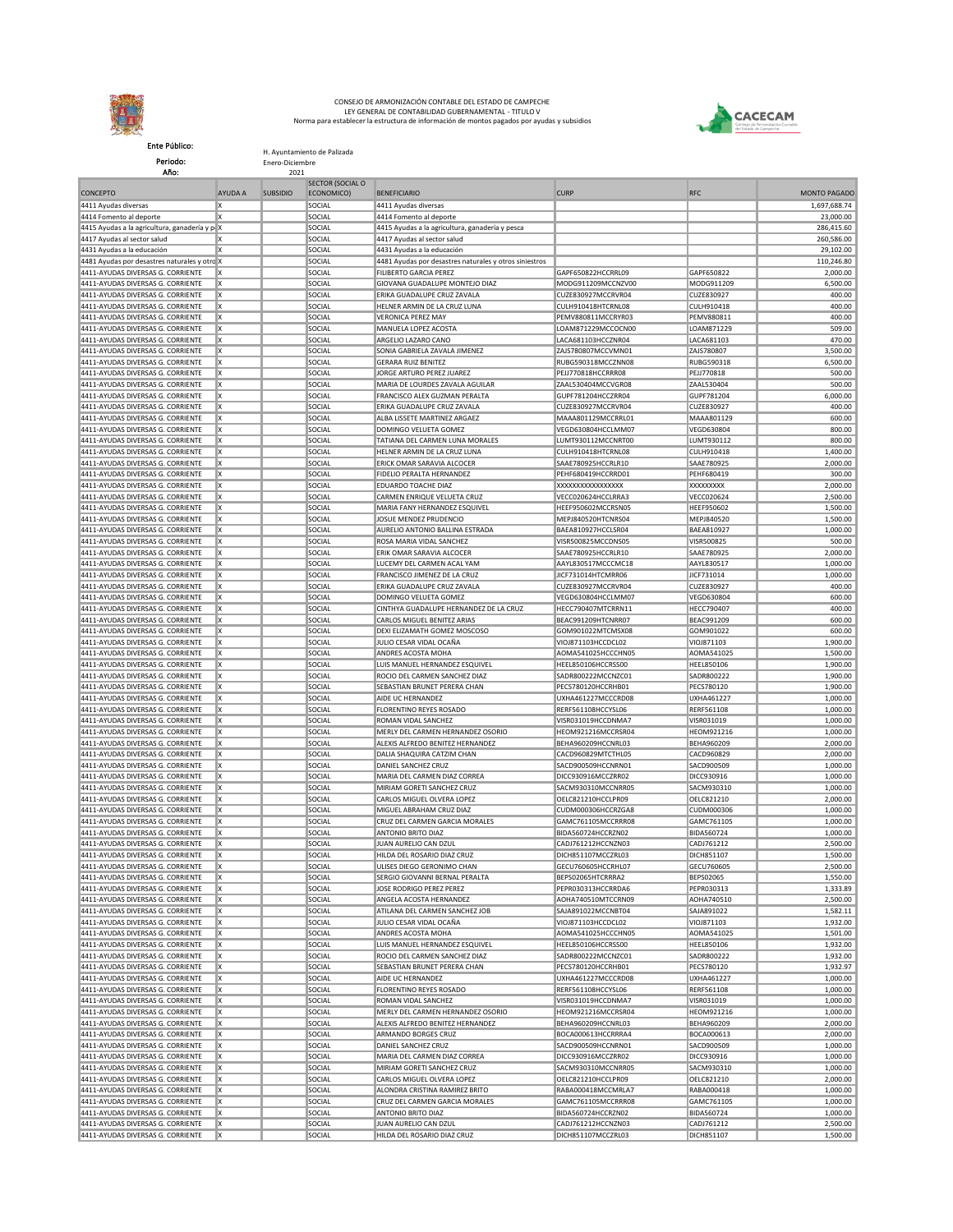

Ente Público: Periodo:

H. Ayuntamiento de Palizada Enero-Diciembre

2021 CONCEPTO **AYUDA A** SUBSIDIO SECTOR (SOCIAL O ECONOMICO) BENEFICIARIO CURP RFC MONTO PAGADO 4411 Ayudas diversas X SOCIAL 4411 Ayudas diversas 1,697,688.74 4414 Fomento al deporte X SOCIAL 4414 Fomento al deporte 23,000.00 4415 Ayudas a la agricultura, ganadería y p $\parallel$  X  $\parallel$  SOCIAL  $\parallel$ 4415 Ayudas a la agricultura, ganadería y pesca  $\parallel$  286,415.60 4417 Ayudas al sector salud X SOCIAL 4417 Ayudas al sector salud 260,586.00 **4431 Ayudas a la educación X SOCIAL 4431 Ayudas a la educación** 29,102.00 4481 Ayudas por desastres naturales y otros siniestros X SOCIAL 4481 Ayudas por desastres naturales y otros siniestros 110,246.80 4411-AYUDAS DIVERSAS G. CORRIENTE X SOCIAL FILIBERTO GARCIA PEREZ GAPF650822HCCRRL09 GAPF650822 2,000.00 4411-AYUDAS DIVERSAS G. CORRIENTE X SOCIAL GIOVANA GUADALUPE MONTEJO DIAZ MODG911209MCCNZV00 MODG911209 6,500.00 4411-AYUDAS DIVERSAS G. CORRIENTE X SOCIAL SOCIAL ERIKA GUADALUPE CRUZ ZAVALA CUZE830927MCCRVR04 CUZE830927 CCRVR04 CUZE830927 400.00 4411-AYUDAS DIVERSAS G. CORRIENTE X SOCIAL HELNER ARMIN DE LA CRUZ LUNA CULH910418HTCRNL08 CULH910418 400.00 4411-AYUDAS DIVERSAS G. CORRIENTE X | SOCIAL | VERONICA PEREZ MAY | PEMV880811MCCRYR03 | PEMV880811<br>4411-AYUDAS DIVERSAS G. CORRIENTE X | SOCIAL | SOCIAL | MANUELA LOPEZ ACOSTA | LOAM871229MCCOCN00 | LOAM871229 4411-AYUDAS DIVERSAS G. CORRIENTE X SOCIAL SOCIAL 4411-AYUDAS DIVERSAS G. CORRIENTE X SOCIAL ARGELIO LAZARO CANO LAZARO CANO LACA681103HCCZNR04 LACA681103 LACA681103 470.00 4411-AYUDAS DIVERSAS G. CORRIENTE X SOCIAL SONIA GABRIELA ZAVALA JIMENEZ ZAJS780807MCCVMN01 ZAJS780807 3,500.00 A411-AYUDAS DIVERSAS G. CORRIENTE X | SOCIAL | GERARA RUIZ BENITEZ<br>4411-AYUDAS DIVERSAS G. CORRIENTE X | SOCIAL | SOCIAL | SOCIAL | SOCIAL | SOCIAL | SOCIAL | SOCIAL | SOCIAL | SOCIAL | SOCIAL | SOCIAL | SOCIAL | SOCIAL | 4411-AYUDAS DIVERSAS G. CORRIENTE X SOCIAL SOCIAL JORGE ARTURO PEREZ JUAREZ PEJJ770818HCCRRR08 PEJJ770818 PEJJ770818 SOCIO<br>4411-AYUDAS DIVERSAS G. CORRIENTE X SOCIAL SOCIAL MARIA DE IOURDES ZAVALA AGUILAR ZAALSROADAM/CVCRR 4411-AYUDAS DIVERSAS G. CORRIENTE 4411-AYUDAS DIVERSAS G. CORRIENTE X | SOCIAL | FRANCISCO ALEX GUZMAN PERALTA | GUPF781204HCCZRR04 | GUPF781204<br>4411-AYUDAS DIVERSAS G. CORRIENTE X | SOCIAL | ERIKA GUADALUPE CRUZ ZAVALA | CUZE830927MCCRVR04 | CUZE830927 | 4411-AYUDAS DIVERSAS G. CORRIENTE X SOCIAL SERIKA GUADALUPE CRUZ ZAVALA CUZE830927MCCRVR04 CUZE830927 CUZE830927 400.00 4411-AYUDAS DIVERSAS G. CORRIENTE X SOCIAL SOCIAL ALBA LISSETE MARTINEZ ARGAEZ MAAA801129MCCRRL01 MAAA801129 MCAA801129 600.00 4411-AYUDAS DIVERSAS G. CORRIENTE X II SOCIAL DOMINGO VELUETA GOMEZ VEGD630804HCCLMM07 VEGD630804HCCLMM07 VEGD630804 4411-AYUDAS DIVERSAS G. CORRIENTE X SOCIAL TATIANA DEL CARMEN LUNA MORALES LUMT930112MCCNRT00 LUMT930112 800.00 4411-AYUDAS DIVERSAS G. CORRIENTE X | SOCIAL | HELNER ARMIN DE LA CRUZ LUNA | CULH910418HTCRNL08 | CULH910418<br>4411-AYUDAS DIVERSAS G. CORRIENTE X | SOCIAL | GOCIAL | FRICK OMAR SARAVIA ALCOCER | SAAF780975HCCRI R10 | SAAF7 4411-AYUDAS DIVERSAS G. CORRIENTE 4411-AYUDAS DIVERSAS G. CORRIENTE X SOCIAL FIDELIO PERALTA HERNANDEZ PEHF680419HCCRRD01 PEHF680419 300.00 4411-AYUDAS DIVERSAS G. CORRIENTE X SOCIAL EDUARDO TOACHE DIAZ XXXXXXXXXXXXXXXXX XXXXXXXXX 2,000.00 4411-AYUDAS DIVERSAS G. CORRIENTE 4411-AYUDAS DIVERSAS G. CORRIENTE X SOCIAL MARIA FANY HERNANDEZ ESQUIVEL HEEF950602MCCRSN05 HEEF950602 1,500.00 4411-AYUDAS DIVERSAS G. CORRIENTE X SOCIAL SOCIAL JUSUE MENDEZ PRUDENCIO METRAGO SOLET CORRESPONDENCIO A LA SOCIAL SOCIAL SOCIAL SOCIAL SUB 4411-AYUDAS DIVERSAS G. CORRIENTE X SOCIAL SOCIAL AURELIO ANTONIO BALLINA ESTRADA BAEA810927HCCLSR04 BAEA810927 || 1,000.00<br>4411-AYUDAS DIVERSAS G. CORRIENTE X | SOCIAL SOCIAL ROSA MARIA VIDAI SANCHEZ | VISRSO087SMCCDNS05 4411-AYUDAS DIVERSAS G. CORRIENTE X | SOCIAL | SOCIAL | ROSA MARIA VIDAL SANCHEZ | VISR500825MCCDNS05 | VISR500825 | SOCIO<br>4411-AYUDAS DIVERSAS G. CORRIENTE X | SOCIAL | SOCIAL | ERIK OMAR SARAVIA ALCOCER | SAAE780925HCCRI 4411-AYUDAS DIVERSAS G. CORRIENTE A411-AYUDAS DIVERSAS G. CORRIENTE X SOCIAL SOCIAL LUCEMY DEL CARMEN ACAL YAM AAYL830517MCCCMC18 AAYL830517 | 1,000.00<br>4411-AYUDAS DIVERSAS G. CORRIENTE X | SOCIAL FRANCISCO JIMENEZ DE LA CRUZ | JICF731014HTCMRR06 | JICF731 4411-AYUDAS DIVERSAS G. CORRIENTE X SOCIAL FRANCISCO JIMENEZ DE LA CRUZ JICF731014HTCMRR06 JICF731014 1,000.00 4411-AYUDAS DIVERSAS G. CORRIENTE X SOCIAL SOCIAL ERIKA GUADALUPE CRUZ ZAVALA CUZE830927MCCRVR04 CUZE830927 CUZE830927 400.00 4411-AYUDAS DIVERSAS G. CORRIENTE X II SOCIAL ISOCIAL DOMINGO VELUETA GOMEZ VEGD630804HCCLMM07 VEGD630804HCCLMM07 VEGD630804 4411-AYUDAS DIVERSAS G. CORRIENTE X SOCIAL SOCIAL CINTHYA GUADALUPE HERNANDEZ DE LA CRUZ HECC790407MTCRRN11 HECC790407 HECC790407 400.00 4411-AYUDAS DIVERSAS G. CORRIENTE X SOCIAL CARLOS MIGUEL BENITEZ ARIAS BEAC991209HTCNRR07 BEAC991209 BEAC991209 600.00<br>4411-AYUDAS DIVERSAS G. CORRIENTE V SOCIAL COLORED DEVI EUZAMATH GOMEZ MOSCOSO COMPORTO GOMORO1022MTCMS 4411-AYUDAS DIVERSAS G. CORRIENTE X | SOCIAL SOCIAL DEXI ELIZAMATH GOMEZ MOSCOSO GOMPOOLD AND GOM901022MTCMSX08 GOM901022 | 600.00 4411-AYUDAS DIVERSAS G. CORRIENTE X SOCIAL JULIO CESAR VIDAL OCAÑA VIOJ871103HCCDCL02 VIOJ871103 1,900.00 4411-AYUDAS DIVERSAS G. CORRIENTE X SOCIAL SOCIAL ANDRES ACOSTA MOHA AOMAS41025HCCCHN05 AOMA541025HCCCHN05 AOMA<br>4411-AYUDAS DIVERSAS G. CORRIENTE X SOCIAL SOCIAL LUIS MANUEL HERNANDEZ ESQUIVEL HEEL850106HCCRSS00 HEEL850106 441 - AUDA DIVERSALIS DIVERSALIS DE L'ANGLICA DE L'ANGLICA DE L'ANGLICA DE L'ANGLICA DE L'ANGLICA DE L'ANGLICA<br>1,900.00 HOC L'ARMEN SANCHEZ DIAZ SOCIAL SADRSO0222 ALCONIZO 1,900.00 4411-AYUDAS DIVERSAS G. CORRIENTE X SOCIAL SOCIAL ROCIO DEL CARMEN SANCHEZ DIAZ SADR800222MCCNZC01 SADR800222 4411-AYUDAS DIVERSAS G. CORRIENTE X | SOCIAL SEBASTIAN BRUNET PERERA CHAN PECS780120HCCRHB01 PECS780120HCCRHB01 PECS780120 | PECS780120 4411-AYUDAS DIVERSAS G. CORRIENTE X | SOCIAL | AIDE UC HERNANDEZ | WHA461227MCCCRD08 | UXHA461227 | 1,000.00<br>4411-AYUDAS DIVERSAS G. CORRIENTE V | SOCIAL | CORRITING REVES ROSADO | PERESSITORHCCYSLOS | PERESSITOR | 1,000 4411-AYUDAS DIVERSAS G. CORRIENTE X | SOCIAL | SOCIAL | FLORENTINO REYES ROSADO | RERF561108HCCYSL06 | RERF561108 | RERF561108 | RERF561108 | SOCIAL 4411-AYUDAS DIVERSAS G. CORRIENTE X | SOCIAL ROMAN VIDAL SANCHEZ | VISR031019HCCDNMA7 | VISR031019 | 1,000.00 4411-AYUDAS DIVERSAS G. CORRIENTE X | SOCIAL | MERLY DEL CARMEN HERNANDEZ OSORIO | HEOM921216MCCRSR04 | HEOM921216 | 1,000.00<br>4411-AYUDAS DIVERSAS G. CORRIENTE X | SOCIAL | ALEXIS ALFREDO BENITEZ HERNANDEZ | BEHA960209HCCN 4411-AYUDAS DIVERSAS G. CORRIENTE 4411-AYUDAS DIVERSAS G. CORRIENTE X SOCIAL DALIA SHAQUIRA CATZIM CHAN CACD960829MTCTHL05 CACD960829 2,000.00 4411-AYUDAS DIVERSAS G. CORRIENTE X | SOCIAL | SOCIAL | DANIEL SANCHEZ CRUZ | SACD900509HCCORROOL | SACD900509<br>1411-AYUDAS DIVERSAS G. CORRIENTE X | SOCIAL | SOCIAL | MARIA DEL CARMEN DIAZ CORREA | DICC930916MCCZRR02 | DIC 4411-AYUDAS DIVERSAS G. CORRIENTE X SOCIAL SOCIAL MARIA DEL CARMEN DIAZ CORREA DICC930916MCCZRR02 DICC930916<br>2011-AYUDAS DIVERSAS G. CORRIENTE X SOCIAL SOCIAL MIRIAM GORETI SANCHEZ CRUZ SACM930310MCCCNRR05 SACM930310 SACM9 4411-AYUDAS DIVERSAS G. CORRIENTE X | SOCIAL MIRIAM GORETI SANCHEZ CRUZ | SACM930310MCCNRR05 SACM930310 | 1,000.00 4411-AYUDAS DIVERSAS G. CORRIENTE X SOCIAL CARLOS MIGUEL OLVERA LOPEZ CORRIEL OR CARLOS MIGUEL ORDER OF CARLOS MIGUEL OLYGRA LOPEZ OGLOBOLIS 4411-AYUDAS DIVERSAS G. CORRIENTE X | SOCIAL | MIGUEL ABRAHAM CRUZ DIAZ | CUDM000306HCCRZGA8 | CUDM000306 | 1,000.00<br>4411-AYUDAS DIVERSAS G. CORRIENTE X | SOCIAL | CRUZ DEL CARMEN GARCIA MORALES | GAMC761105MCCRRR08 | GAMC 4411-AYUDAS DIVERSAS G. CORRIENTE X SOCIAL CRUZ DEL CARMEN GARCIA MORALES GAMC761105MCCRRR08 GAMC761105 CAMC761105 1,000.00<br>4411-AYUDAS DIVERSAS G. CORRIENTE X SOCIAL SOCIAL ANTONIO BRITO DIAZ BIDAS60724HCCRZN02 BIDAS60724 4411-AYUDAS DIVERSAS G. CORRIENTE X SOCIAL ANTONIO BRITO DIAZ BIDA560724HCCRZN02 BIDA560724 1,000.00 4411-AYUDAS DIVERSAS G. CORRIENTE X SOCIAL SOCIAL JUAN AURELIO CAN DZUL CADJ761212HCCNZN03 CADJ761212 3 2,500.00 4411-AYUDAS DIVERSAS G. CORRIENTE X SOCIAL HILDA DEL ROSARIO DIAZ CRUZ DICH851107MCCZRL03 DICH851107 1,500.00 4411-AYUDAS DIVERSAS G. CORRIENTE X | SOCIAL |ULISES DIEGO GERONIMO CHAN | GECU760605HCCRHL07 | GECU760605 4411-AYUDAS DIVERSAS G. CORRIENTE X SOCIAL SOCIAL SERGIO GIOVANNI BERNAL PERALTA BEPS02065HTCRRRA2 BEPS02065 INFESOLOGIS SOCIAL SERGIO DI SED 4411-AYUDAS DIVERSAS G. CORRIENTE X | SOCIAL JOSE RODRIGO PEREZ PEREZ PEREZ PEREZ PEREZ PEREZ PEREZ PEREZ PEREZ PEREZ PEREZ PEREZ PEREZ PEREZ PEREZ PEREZ PEREZ PEREZ PEREZ PEREZ PEREZ PEREZ PEREZ PEREZ PEREZ PEREZ PEREZ PE 4411-AYUDAS DIVERSAS G. CORRIENTE X | SOCIAL | SOCIAL ANGELA ACOSTA HERNANDEZ | AOHA740510MTCCRN09 | AOHA740510 | 2,500.00 4411-AYUDAS DIVERSAS G. CORRIENTE X | SOCIAL | ATILANA DEL CARMEN SANCHEZ JOB | SAJA891022MCCNBT04 | SAJA891022<br>4411-AYUDAS DIVERSAS G. CORRIENTE X | SOCIAL | SOCIAL | JULIO CESAR VIDAL OCAÑA | VIOJ871103HCCDCL02 | VIOJ87 4411-AYUDAS DIVERSAS G. CORRIENTE X SOCIAL JULIO CESAR VIDAL OCAÑA VIOJ871103HCCDCL02 VIOJ871103 1,932.00 4411-AYUDAS DIVERSAS G. CORRIENTE X | SOCIAL | ANDRES ACOSTA MOHA | AOMAS41025HCCCHN05 | AOMA541025 | 1,501.00<br>4411-AYUDAS DIVERSAS G. CORRIENTE X | SOCIAL | SOCIAL | LUIS MANUEL HERNANDEZ ESQUIVEL | HEEL850106HCCRSS00 | H 4411-AYUDAS DIVERSAS G. CORRIENTE X SOCIAL SOCIAL LUIS MANUEL HERNANDEZ ESQUIVEL HEEL850106HCCRSS00 HEEL850106 4411-AYUDAS DIVERSAS G. CORRIENTE X SOCIAL SOCIAL ROCIO DEL CARMEN SANCHEZ DIAZ SADR800222MCCNZC01 SADR800222 1,932.00 4411-AYUDAS DIVERSAS G. CORRIENTE X SOCIAL SCOCIAL SEBASTIAN BRUNET PERERA CHAN PECS780120HCCRHB01 PECS780120HCCRHB01 PECS780120 1,932.97 4411-AYUDAS DIVERSAS G. CORRIENTE X | SOCIAL | SOCIAL AIDE UC HERNANDEZ | UXHA461227MCCCRD08 | UXHA461227 | 1,000.00 4411-AYUDAS DIVERSAS G. CORRIENTE X | SOCIAL | FLORENTINO REYES ROSADO | RERF561108HCCYSL06 | RERF561108 | MER<br>A411-AYUDAS DIVERSAS G. CORRIENTE X | SOCIAL | SOCIAL | ROMAN VIDAI SANCHEZ | VISRO31019HCCDNMAZ | VISRO31019 4411-AYUDAS DIVERSAS G. CORRIENTE X | SOCIAL | SOCIAL | ROMAN VIDAL SANCHEZ | VISR031019HCCDNMA7 | VISR031019 | VISR031019 | 1,000.00 4411-AYUDAS DIVERSAS G. CORRIENTE X SOCIAL MERLY DEL CARMEN HERNANDEZ OSORIO HEOM921216MCCRSR04 HEOM921216 1,000.00 4411-AYUDAS DIVERSAS G. CORRIENTE X CORRIENTE AND SOCIAL ALEXIS ALFREDO BENITEZ HERNANDEZ BEHA960209HCCNRL03 BEHA960209 BEHA960209 2,000.00 4411-AYUDAS DIVERSAS G. CORRIENTE X SOCIAL ARMANDO BORGES CRUZ BOCA000613HCCRRRA4 BOCA000613 2,000.00 4411-AYUDAS DIVERSAS G. CORRIENTE X SOCIAL DSOCIAL DANIEL SANCHEZ CRUZ SACD900509HCCNRN01 SACD900509 SACD900509 1,000.00 4411-AYUDAS DIVERSAS G. CORRIENTE X | SOCIAL MARIA DEL CARMEN DIAZ CORREA | DICC930916MCCZRR02 | DICC930916 | 1,000.00 A411-AYUDAS DIVERSAS G. CORRIENTE X | SOCIAL | SOCIAL MIRIAM GORETI SANCHEZ CRUZ | SACM930310MCCNRR05 | SACM930310<br>4411-AYUDAS DIVERSAS G. CORRIENTE X | SOCIAL | SOCIAL | CARLOS MIGUEL OLVERA LOPEZ | OELC821210HCCLPR09 | O 4411-AYUDAS DIVERSAS G. CORRIENTE 4411-AYUDAS DIVERSAS G. CORRIENTE X SOCIAL SOCIAL ALONDRA CRISTINA RAMIREZ BRITO RABA000418MCCMRLA7 RABA000418 1,000.00 4411-AYUDAS DIVERSAS G. CORRIENTE X SOCIAL CRUZ DEL CARMEN GARCIA MORALES GAMC761105MCCRRR08 GAMC761105 1,000.00 4411-AYUDAS DIVERSAS G. CORRIENTE X SOCIAL ANTONIO BRITO DIAZ BIDA560724HCCRZN02 BIDA560724 BIDA560724 1,000.00 4411-AYUDAS DIVERSAS G. CORRIENTE X SOCIAL JUAN AURELIO CAN DZUL CADJ761212HCCNZN03 CADJ761212 2,500.00 4411-AYUDAS DIVERSAS G. CORRIENTE X SOCIAL SOCIAL HILDA DEL ROSARIO DIAZ CRUZ DICHRS1107MCCZRL03 DICH851107 I 1500.00 Año:



CONSEJO DE ARMONIZACIÓN CONTABLE DEL ESTADO DE CAMPECHE LEY GENERAL DE CONTABILIDAD GUBERNAMENTAL - TITULO V Norma para establecer la estructura de información de montos pagados por ayudas y subsidios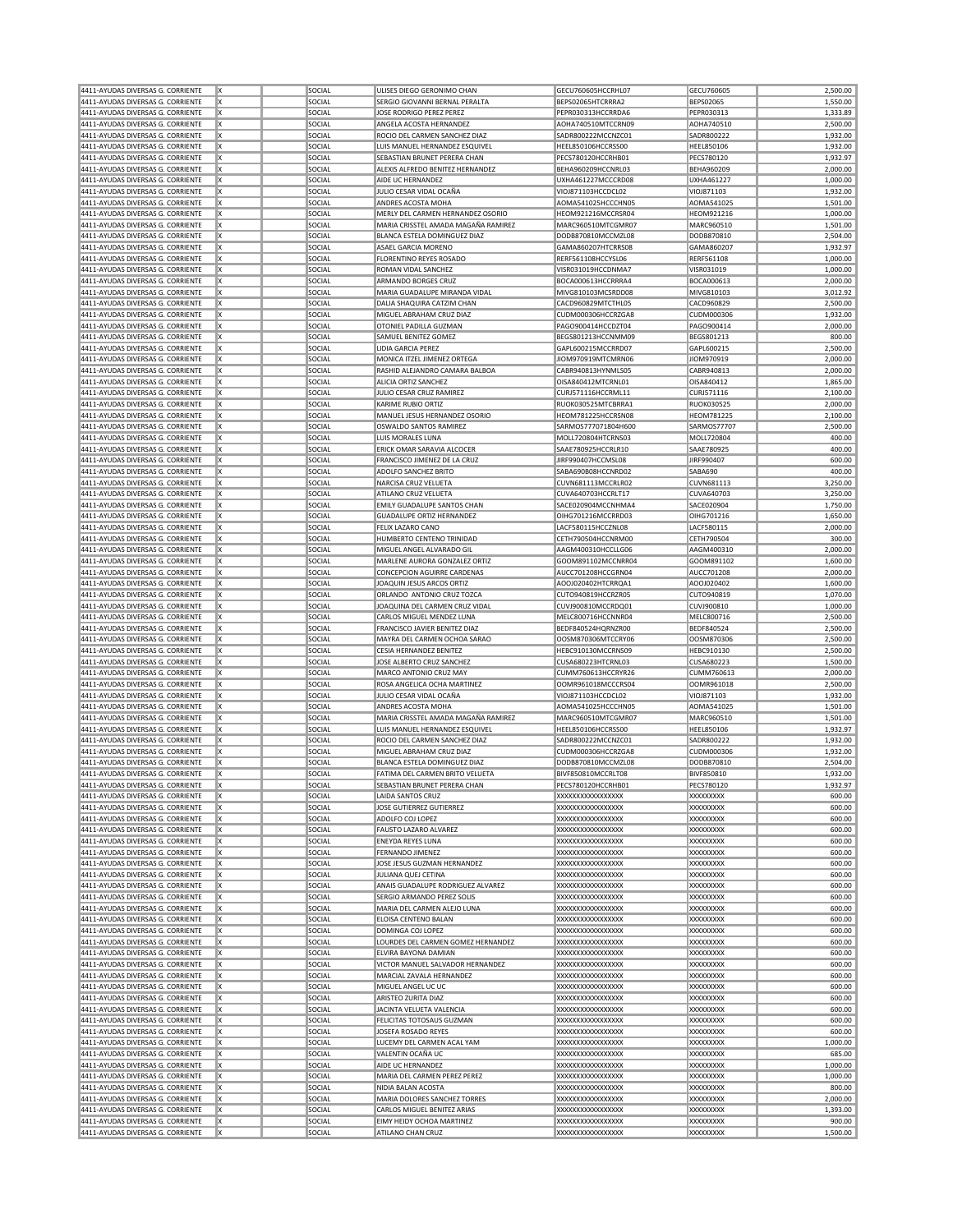| 4411-AYUDAS DIVERSAS G. CORRIENTE | Iχ      | SOCIAL | ULISES DIEGO GERONIMO CHAN          | GECU760605HCCRHL07  | GECU760605        | 2,500.00 |
|-----------------------------------|---------|--------|-------------------------------------|---------------------|-------------------|----------|
|                                   |         |        |                                     |                     |                   |          |
| 4411-AYUDAS DIVERSAS G. CORRIENTE | ΙX      | SOCIAL | SERGIO GIOVANNI BERNAL PERALTA      | BEPS02065HTCRRRA2   | <b>BEPS02065</b>  | 1,550.00 |
| 4411-AYUDAS DIVERSAS G. CORRIENTE | X       | SOCIAL | JOSE RODRIGO PEREZ PEREZ            | PEPR030313HCCRRDA6  | PEPR030313        | 1,333.89 |
| 4411-AYUDAS DIVERSAS G. CORRIENTE | X       | SOCIAL | ANGELA ACOSTA HERNANDEZ             | AOHA740510MTCCRN09  | AOHA740510        | 2,500.00 |
| 4411-AYUDAS DIVERSAS G. CORRIENTE | X       | SOCIAL | ROCIO DEL CARMEN SANCHEZ DIAZ       | SADR800222MCCNZC01  | SADR800222        | 1,932.00 |
| 4411-AYUDAS DIVERSAS G. CORRIENTE | Ιx      | SOCIAL | LUIS MANUEL HERNANDEZ ESQUIVEL      | HEEL850106HCCRSS00  | HEEL850106        | 1,932.00 |
|                                   |         |        |                                     |                     |                   |          |
| 4411-AYUDAS DIVERSAS G. CORRIENTE | Ιx      | SOCIAL | SEBASTIAN BRUNET PERERA CHAN        | PECS780120HCCRHB01  | PECS780120        | 1,932.97 |
| 4411-AYUDAS DIVERSAS G. CORRIENTE | X       | SOCIAL | ALEXIS ALFREDO BENITEZ HERNANDEZ    | BEHA960209HCCNRL03  | BEHA960209        | 2,000.00 |
| 4411-AYUDAS DIVERSAS G. CORRIENTE | X       | SOCIAL | AIDE UC HERNANDEZ                   | UXHA461227MCCCRD08  | <b>UXHA461227</b> | 1,000.00 |
| 4411-AYUDAS DIVERSAS G. CORRIENTE | X       | SOCIAL | JULIO CESAR VIDAL OCAÑA             | VIOJ871103HCCDCL02  | VIOJ871103        | 1,932.00 |
| 4411-AYUDAS DIVERSAS G. CORRIENTE | Ιx      | SOCIAL | ANDRES ACOSTA MOHA                  | AOMA541025HCCCHN05  | AOMA541025        | 1,501.00 |
|                                   |         |        |                                     |                     |                   |          |
| 4411-AYUDAS DIVERSAS G. CORRIENTE | Ιx      | SOCIAL | MERLY DEL CARMEN HERNANDEZ OSORIO   | HEOM921216MCCRSR04  | HEOM921216        | 1,000.00 |
| 4411-AYUDAS DIVERSAS G. CORRIENTE | X       | SOCIAL | MARIA CRISSTEL AMADA MAGAÑA RAMIREZ | MARC960510MTCGMR07  | MARC960510        | 1,501.00 |
| 4411-AYUDAS DIVERSAS G. CORRIENTE | X       | SOCIAL | BLANCA ESTELA DOMINGUEZ DIAZ        | DODB870810MCCMZL08  | DODB870810        | 2,504.00 |
| 4411-AYUDAS DIVERSAS G. CORRIENTE | X       | SOCIAL | ASAEL GARCIA MORENO                 | GAMA860207HTCRRS08  | GAMA860207        | 1,932.97 |
| 4411-AYUDAS DIVERSAS G. CORRIENTE | Ιx      | SOCIAL | <b>FLORENTINO REYES ROSADO</b>      | RERF561108HCCYSL06  | RERF561108        | 1,000.00 |
|                                   |         |        |                                     |                     |                   |          |
| 4411-AYUDAS DIVERSAS G. CORRIENTE | Ιx      | SOCIAL | ROMAN VIDAL SANCHEZ                 | VISR031019HCCDNMA7  | VISR031019        | 1,000.00 |
| 4411-AYUDAS DIVERSAS G. CORRIENTE | X       | SOCIAL | ARMANDO BORGES CRUZ                 | BOCA000613HCCRRRA4  | BOCA000613        | 2,000.00 |
| 4411-AYUDAS DIVERSAS G. CORRIENTE | X       | SOCIAL | MARIA GUADALUPE MIRANDA VIDAL       | MIVG810103MCSRDD08  | MIVG810103        | 3,012.92 |
| 4411-AYUDAS DIVERSAS G. CORRIENTE | X       | SOCIAL | DALIA SHAQUIRA CATZIM CHAN          | CACD960829MTCTHL05  | CACD960829        | 2,500.00 |
| 4411-AYUDAS DIVERSAS G. CORRIENTE | Ιx      | SOCIAL | MIGUEL ABRAHAM CRUZ DIAZ            | CUDM000306HCCRZGA8  | CUDM000306        | 1,932.00 |
|                                   |         |        |                                     |                     |                   |          |
| 4411-AYUDAS DIVERSAS G. CORRIENTE | Ιx      | SOCIAL | OTONIEL PADILLA GUZMAN              | PAGO900414HCCDZT04  | PAGO900414        | 2,000.00 |
| 4411-AYUDAS DIVERSAS G. CORRIENTE | X       | SOCIAL | SAMUEL BENITEZ GOMEZ                | BEGS801213HCCNMM09  | BEGS801213        | 800.00   |
| 4411-AYUDAS DIVERSAS G. CORRIENTE | X       | SOCIAL | LIDIA GARCIA PEREZ                  | GAPL600215MCCRRD07  | GAPL600215        | 2,500.00 |
| 4411-AYUDAS DIVERSAS G. CORRIENTE | X       | SOCIAL | MONICA ITZEL JIMENEZ ORTEGA         | JIOM970919MTCMRN06  | JIOM970919        | 2,000.00 |
| 4411-AYUDAS DIVERSAS G. CORRIENTE | Ιx      | SOCIAL | RASHID ALEJANDRO CAMARA BALBOA      | CABR940813HYNMLS05  | CABR940813        | 2,000.00 |
|                                   |         |        |                                     |                     |                   |          |
| 4411-AYUDAS DIVERSAS G. CORRIENTE | Ιx      | SOCIAL | ALICIA ORTIZ SANCHEZ                | OISA840412MTCRNL01  | OISA840412        | 1,865.00 |
| 4411-AYUDAS DIVERSAS G. CORRIENTE | Ιx      | SOCIAL | JULIO CESAR CRUZ RAMIREZ            | CURJ571116HCCRML11  | CURJ571116        | 2,100.00 |
| 4411-AYUDAS DIVERSAS G. CORRIENTE | X       | SOCIAL | KARIME RUBIO ORTIZ                  | RUOK030525MTCBRRA1  | <b>RUOK030525</b> | 2,000.00 |
| 4411-AYUDAS DIVERSAS G. CORRIENTE | X       | SOCIAL | MANUEL JESUS HERNANDEZ OSORIO       | HEOM781225HCCRSN08  | <b>HEOM781225</b> | 2,100.00 |
|                                   |         |        |                                     |                     |                   |          |
| 4411-AYUDAS DIVERSAS G. CORRIENTE | Ιx      | SOCIAL | OSWALDO SANTOS RAMIREZ              | SARMOS777071804H600 | SARMOS77707       | 2,500.00 |
| 4411-AYUDAS DIVERSAS G. CORRIENTE | Ιx      | SOCIAL | LUIS MORALES LUNA                   | MOLL720804HTCRNS03  | MOLL720804        | 400.00   |
| 4411-AYUDAS DIVERSAS G. CORRIENTE | Ιx      | SOCIAL | ERICK OMAR SARAVIA ALCOCER          | SAAE780925HCCRLR10  | SAAE780925        | 400.00   |
| 4411-AYUDAS DIVERSAS G. CORRIENTE | X       | SOCIAL | FRANCISCO JIMENEZ DE LA CRUZ        | JIRF990407HCCMSL08  | JIRF990407        | 600.00   |
| 4411-AYUDAS DIVERSAS G. CORRIENTE | X       | SOCIAL | ADOLFO SANCHEZ BRITO                | SABA690B08HCCNRD02  | SABA690           | 400.00   |
| 4411-AYUDAS DIVERSAS G. CORRIENTE |         |        |                                     |                     |                   |          |
|                                   | Ιx      | SOCIAL | NARCISA CRUZ VELUETA                | CUVN681113MCCRLR02  | CUVN681113        | 3,250.00 |
| 4411-AYUDAS DIVERSAS G. CORRIENTE | Ιx      | SOCIAL | ATILANO CRUZ VELUETA                | CUVA640703HCCRLT17  | CUVA640703        | 3,250.00 |
| 4411-AYUDAS DIVERSAS G. CORRIENTE | Ιx      | SOCIAL | EMILY GUADALUPE SANTOS CHAN         | SACE020904MCCNHMA4  | SACE020904        | 1,750.00 |
| 4411-AYUDAS DIVERSAS G. CORRIENTE | X       | SOCIAL | <b>GUADALUPE ORTIZ HERNANDEZ</b>    | OIHG701216MCCRRD03  | OIHG701216        | 1,650.00 |
| 4411-AYUDAS DIVERSAS G. CORRIENTE | X       | SOCIAL | FELIX LAZARO CANO                   | LACF580115HCCZNL08  | LACF580115        | 2,000.00 |
|                                   |         |        |                                     |                     |                   |          |
| 4411-AYUDAS DIVERSAS G. CORRIENTE | Ιx      | SOCIAL | HUMBERTO CENTENO TRINIDAD           | CETH790504HCCNRM00  | CETH790504        | 300.00   |
| 4411-AYUDAS DIVERSAS G. CORRIENTE | Ιx      | SOCIAL | MIGUEL ANGEL ALVARADO GIL           | AAGM400310HCCLLG06  | AAGM400310        | 2,000.00 |
| 4411-AYUDAS DIVERSAS G. CORRIENTE | Ιx      | SOCIAL | MARLENE AURORA GONZALEZ ORTIZ       | GOOM891102MCCNRR04  | GOOM891102        | 1,600.00 |
| 4411-AYUDAS DIVERSAS G. CORRIENTE | X       | SOCIAL | CONCEPCION AGUIRRE CARDENAS         | AUCC701208HCCGRN04  | AUCC701208        | 2,000.00 |
| 4411-AYUDAS DIVERSAS G. CORRIENTE | X       | SOCIAL | JOAQUIN JESUS ARCOS ORTIZ           | AOOJ020402HTCRRQA1  | AOOJ020402        | 1,600.00 |
|                                   |         |        |                                     |                     |                   |          |
| 4411-AYUDAS DIVERSAS G. CORRIENTE | Ιx      | SOCIAL | ORLANDO ANTONIO CRUZ TOZCA          | CUTO940819HCCRZR05  | CUTO940819        | 1,070.00 |
| 4411-AYUDAS DIVERSAS G. CORRIENTE | Ιx      | SOCIAL | JOAQUINA DEL CARMEN CRUZ VIDAL      | CUVJ900810MCCRDQ01  | CUVJ900810        | 1,000.00 |
| 4411-AYUDAS DIVERSAS G. CORRIENTE | Ιx      | SOCIAL | CARLOS MIGUEL MENDEZ LUNA           | MELC800716HCCNNR04  | MELC800716        | 2,500.00 |
| 4411-AYUDAS DIVERSAS G. CORRIENTE | X       | SOCIAL | FRANCISCO JAVIER BENITEZ DIAZ       | BEDF840524HQRNZR00  | BEDF840524        | 2,500.00 |
| 4411-AYUDAS DIVERSAS G. CORRIENTE | X       | SOCIAL | MAYRA DEL CARMEN OCHOA SARAO        | OOSM870306MTCCRY06  | OOSM870306        | 2,500.00 |
|                                   |         |        |                                     |                     |                   |          |
| 4411-AYUDAS DIVERSAS G. CORRIENTE | Ιx      | SOCIAL | CESIA HERNANDEZ BENITEZ             | HEBC910130MCCRNS09  | HEBC910130        | 2,500.00 |
| 4411-AYUDAS DIVERSAS G. CORRIENTE | Ιx      | SOCIAL | JOSE ALBERTO CRUZ SANCHEZ           | CUSA680223HTCRNL03  | CUSA680223        | 1,500.00 |
| 4411-AYUDAS DIVERSAS G. CORRIENTE | Ιx      | SOCIAL | MARCO ANTONIO CRUZ MAY              | CUMM760613HCCRYR26  | CUMM760613        | 2,000.00 |
| 4411-AYUDAS DIVERSAS G. CORRIENTE | ΙX      | SOCIAL | ROSA ANGELICA OCHA MARTINEZ         | OOMR961018MCCCRS04  | OOMR961018        | 2,500.00 |
|                                   | X       |        |                                     |                     |                   | 1,932.00 |
| 4411-AYUDAS DIVERSAS G. CORRIENTE |         | SOCIAL | JULIO CESAR VIDAL OCAÑA             | VIOJ871103HCCDCL02  | VIOJ871103        |          |
| 4411-AYUDAS DIVERSAS G. CORRIENTE | Ιx      | SOCIAL | <b>ANDRES ACOSTA MOHA</b>           | AOMA541025HCCCHN05  | AOMA541025        | 1,501.00 |
| 4411-AYUDAS DIVERSAS G. CORRIENTE | Ιx      | SOCIAL | MARIA CRISSTEL AMADA MAGAÑA RAMIREZ | MARC960510MTCGMR07  | MARC960510        | 1,501.00 |
| 4411-AYUDAS DIVERSAS G. CORRIENTE | Ιx      | SOCIAL | LUIS MANUEL HERNANDEZ ESQUIVEL      | HEEL850106HCCRSS00  | HEEL850106        | 1,932.97 |
| 4411-AYUDAS DIVERSAS G. CORRIENTE | ΙX      | SOCIAL | ROCIO DEL CARMEN SANCHEZ DIAZ       | SADR800222MCCNZC01  | SADR800222        | 1,932.00 |
|                                   |         |        |                                     |                     |                   |          |
| 4411-AYUDAS DIVERSAS G. CORRIENTE | X       | SOCIAL | MIGUEL ABRAHAM CRUZ DIAZ            | CUDM000306HCCRZGA8  | CUDM000306        | 1,932.00 |
| 4411-AYUDAS DIVERSAS G. CORRIENTE | Ιx      | SOCIAL | BLANCA ESTELA DOMINGUEZ DIAZ        | DODB870810MCCMZL08  | DODB870810        | 2,504.00 |
| 4411-AYUDAS DIVERSAS G. CORRIENTE | Ιx      | SOCIAL | FATIMA DEL CARMEN BRITO VELUETA     | BIVF850810MCCRLT08  | BIVF850810        | 1,932.00 |
| 4411-AYUDAS DIVERSAS G. CORRIENTE | lχ      | SOCIAL | SEBASTIAN BRUNET PERERA CHAN        | PECS780120HCCRHB01  | PECS780120        | 1,932.97 |
| 4411-AYUDAS DIVERSAS G. CORRIENTE | ΙX      | SOCIAL | LAIDA SANTOS CRUZ                   | XXXXXXXXXXXXXXXXX   | XXXXXXXXX         | 600.00   |
|                                   |         |        |                                     |                     |                   |          |
| 4411-AYUDAS DIVERSAS G. CORRIENTE | Ιx      | SOCIAL | JOSE GUTIERREZ GUTIERREZ            | XXXXXXXXXXXXXXXXX   | <b>XXXXXXXXX</b>  | 600.00   |
| 4411-AYUDAS DIVERSAS G. CORRIENTE | X       | SOCIAL | ADOLFO COJ LOPEZ                    | XXXXXXXXXXXXXXXXX   | XXXXXXXXX         | 600.00   |
| 4411-AYUDAS DIVERSAS G. CORRIENTE | ΙX      | SOCIAL | <b>FAUSTO LAZARO ALVAREZ</b>        | XXXXXXXXXXXXXXXXX   | XXXXXXXXX         | 600.00   |
| 4411-AYUDAS DIVERSAS G. CORRIENTE | Ιx      | SOCIAL | <b>ENEYDA REYES LUNA</b>            | XXXXXXXXXXXXXXXXX   | XXXXXXXXX         | 600.00   |
| 4411-AYUDAS DIVERSAS G. CORRIENTE | ΙX      | SOCIAL | <b>FERNANDO JIMENEZ</b>             | XXXXXXXXXXXXXXXXX   | XXXXXXXXX         | 600.00   |
| 4411-AYUDAS DIVERSAS G. CORRIENTE | X       | SOCIAL | JOSE JESUS GUZMAN HERNANDEZ         | XXXXXXXXXXXXXXXXX   | XXXXXXXXX         | 600.00   |
|                                   |         |        |                                     |                     |                   |          |
| 4411-AYUDAS DIVERSAS G. CORRIENTE | ΙX      | SOCIAL | JULIANA QUEJ CETINA                 | XXXXXXXXXXXXXXXXX   | XXXXXXXXX         | 600.00   |
| 4411-AYUDAS DIVERSAS G. CORRIENTE | ΙX      | SOCIAL | ANAIS GUADALUPE RODRIGUEZ ALVAREZ   | XXXXXXXXXXXXXXXXX   | XXXXXXXXX         | 600.00   |
| 4411-AYUDAS DIVERSAS G. CORRIENTE | Ιx      | SOCIAL | SERGIO ARMANDO PEREZ SOLIS          | XXXXXXXXXXXXXXXXX   | XXXXXXXX          | 600.00   |
| 4411-AYUDAS DIVERSAS G. CORRIENTE | ΙX      | SOCIAL | MARIA DEL CARMEN ALEJO LUNA         | XXXXXXXXXXXXXXXXX   | XXXXXXXXX         | 600.00   |
| 4411-AYUDAS DIVERSAS G. CORRIENTE | X       | SOCIAL | ELOISA CENTENO BALAN                | XXXXXXXXXXXXXXXXX   | XXXXXXXXX         | 600.00   |
|                                   |         |        |                                     |                     |                   |          |
| 4411-AYUDAS DIVERSAS G. CORRIENTE | ΙX      | SOCIAL | DOMINGA COJ LOPEZ                   | XXXXXXXXXXXXXXXXX   | XXXXXXXXX         | 600.00   |
| 4411-AYUDAS DIVERSAS G. CORRIENTE | ΙX      | SOCIAL | LOURDES DEL CARMEN GOMEZ HERNANDEZ  | XXXXXXXXXXXXXXXXX   | XXXXXXXXX         | 600.00   |
| 4411-AYUDAS DIVERSAS G. CORRIENTE | Ιx      | SOCIAL | ELVIRA BAYONA DAMIAN                | XXXXXXXXXXXXXXXXX   | XXXXXXXX          | 600.00   |
| 4411-AYUDAS DIVERSAS G. CORRIENTE | ΙX      | SOCIAL | VICTOR MANUEL SALVADOR HERNANDEZ    | XXXXXXXXXXXXXXXXX   | XXXXXXXXX         | 600.00   |
| 4411-AYUDAS DIVERSAS G. CORRIENTE | ΙX      | SOCIAL | MARCIAL ZAVALA HERNANDEZ            | XXXXXXXXXXXXXXXXX   | XXXXXXXXX         | 600.00   |
|                                   |         |        |                                     |                     |                   |          |
| 4411-AYUDAS DIVERSAS G. CORRIENTE | ΙX      | SOCIAL | MIGUEL ANGEL UC UC                  | XXXXXXXXXXXXXXXXX   | XXXXXXXXX         | 600.00   |
| 4411-AYUDAS DIVERSAS G. CORRIENTE | ΙX      | SOCIAL | ARISTEO ZURITA DIAZ                 | XXXXXXXXXXXXXXXXX   | XXXXXXXXX         | 600.00   |
| 4411-AYUDAS DIVERSAS G. CORRIENTE | Ιx      | SOCIAL | JACINTA VELUETA VALENCIA            | XXXXXXXXXXXXXXXXXX  | XXXXXXXX          | 600.00   |
| 4411-AYUDAS DIVERSAS G. CORRIENTE | ΙX      | SOCIAL | FELICITAS TOTOSAUS GUZMAN           | XXXXXXXXXXXXXXXXX   | XXXXXXXXX         | 600.00   |
| 4411-AYUDAS DIVERSAS G. CORRIENTE | ΙX      | SOCIAL | JOSEFA ROSADO REYES                 | XXXXXXXXXXXXXXXX    | XXXXXXXXX         | 600.00   |
|                                   |         |        |                                     |                     |                   |          |
| 4411-AYUDAS DIVERSAS G. CORRIENTE | ΙX      | SOCIAL | LUCEMY DEL CARMEN ACAL YAM          | XXXXXXXXXXXXXXXXX   | XXXXXXXXX         | 1,000.00 |
| 4411-AYUDAS DIVERSAS G. CORRIENTE | ΙX      | SOCIAL | VALENTIN OCAÑA UC                   | XXXXXXXXXXXXXXXXX   | XXXXXXXXX         | 685.00   |
| 4411-AYUDAS DIVERSAS G. CORRIENTE | Ιx      | SOCIAL | AIDE UC HERNANDEZ                   | XXXXXXXXXXXXXXXXXX  | XXXXXXXX          | 1,000.00 |
| 4411-AYUDAS DIVERSAS G. CORRIENTE | ΙX      | SOCIAL | MARIA DEL CARMEN PEREZ PEREZ        | XXXXXXXXXXXXXXXXX   | XXXXXXXXX         | 1,000.00 |
| 4411-AYUDAS DIVERSAS G. CORRIENTE | ΙX      | SOCIAL | NIDIA BALAN ACOSTA                  | XXXXXXXXXXXXXXXXX   | XXXXXXXXX         | 800.00   |
|                                   |         |        |                                     |                     |                   |          |
| 4411-AYUDAS DIVERSAS G. CORRIENTE | ΙX      | SOCIAL | MARIA DOLORES SANCHEZ TORRES        | XXXXXXXXXXXXXXXXX   | XXXXXXXXX         | 2,000.00 |
| 4411-AYUDAS DIVERSAS G. CORRIENTE | ΙX      | SOCIAL | CARLOS MIGUEL BENITEZ ARIAS         | XXXXXXXXXXXXXXXXX   | XXXXXXXXX         | 1,393.00 |
| 4411-AYUDAS DIVERSAS G. CORRIENTE | Ιx      | SOCIAL | EIMY HEIDY OCHOA MARTINEZ           | XXXXXXXXXXXXXXXX    | XXXXXXXXX         | 900.00   |
| 4411-AYUDAS DIVERSAS G. CORRIENTE | $\ x\ $ | SOCIAL | ATILANO CHAN CRUZ                   | XXXXXXXXXXXXXXXXX   | XXXXXXXX          | 1,500.00 |